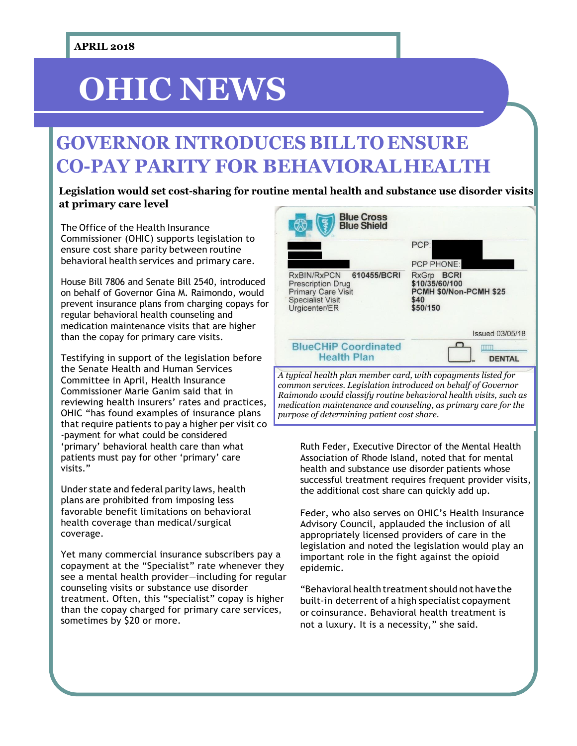# **OHIC NEWS**

## **GOVERNOR INTRODUCES BILLTO ENSURE CO-PAY PARITY FOR BEHAVIORALHEALTH**

## **Legislation would set cost-sharing for routine mental health and substance use disorder visits at primary care level**

The Office of the Health Insurance Commissioner (OHIC) supports legislation to ensure cost share parity between routine behavioral health services and primary care.

House Bill 7806 and Senate Bill 2540, introduced on behalf of Governor Gina M. Raimondo, would prevent insurance plans from charging copays for regular behavioral health counseling and medication maintenance visits that are higher than the copay for primary care visits.

Testifying in support of the legislation before the Senate Health and Human Services Committee in April, Health Insurance Commissioner Marie Ganim said that in reviewing health insurers' rates and practices, OHIC "has found examples of insurance plans that require patients to pay a higher per visit co -payment for what could be considered 'primary' behavioral health care than what patients must pay for other 'primary' care visits."

Under state and federal parity laws, health plans are prohibited from imposing less favorable benefit limitations on behavioral health coverage than medical/surgical coverage.

Yet many commercial insurance subscribers pay a copayment at the "Specialist" rate whenever they see a mental health provider—including for regular counseling visits or substance use disorder treatment. Often, this "specialist" copay is higher than the copay charged for primary care services, sometimes by \$20 or more.



*common services. Legislation introduced on behalf of Governor Raimondo would classify routine behavioral health visits, such as medication maintenance and counseling, as primary care for the purpose of determining patient cost share.*

Ruth Feder, Executive Director of the Mental Health Association of Rhode Island, noted that for mental health and substance use disorder patients whose successful treatment requires frequent provider visits, the additional cost share can quickly add up.

Feder, who also serves on OHIC's Health Insurance Advisory Council, applauded the inclusion of all appropriately licensed providers of care in the legislation and noted the legislation would play an important role in the fight against the opioid epidemic.

"Behavioral health treatment should not have the built-in deterrent of a high specialist copayment or coinsurance. Behavioral health treatment is not a luxury. It is a necessity," she said.